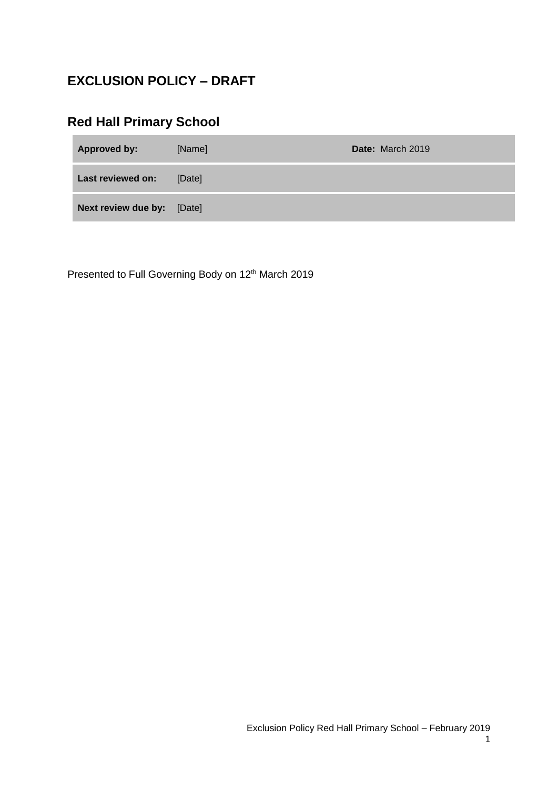## **EXCLUSION POLICY – DRAFT**

# **Red Hall Primary School**

| <b>Approved by:</b>        | [Name] | Date: March 2019 |
|----------------------------|--------|------------------|
| Last reviewed on:          | [Date] |                  |
| Next review due by: [Date] |        |                  |

Presented to Full Governing Body on 12<sup>th</sup> March 2019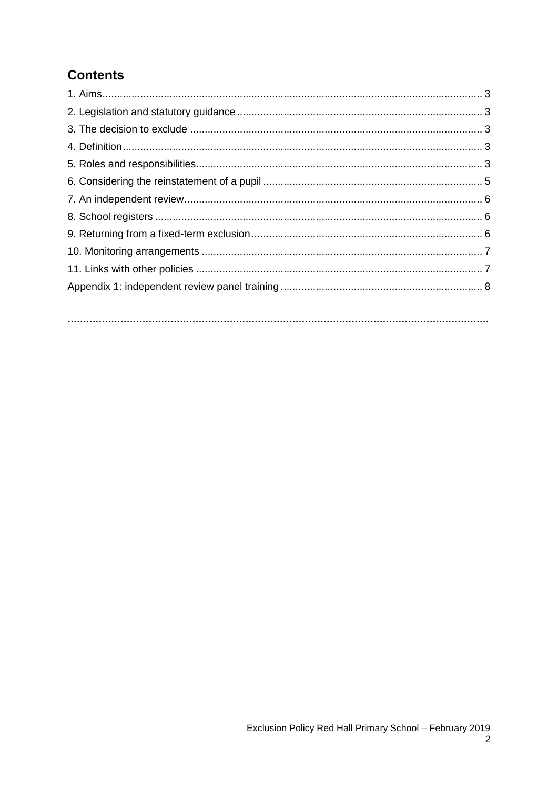# **Contents**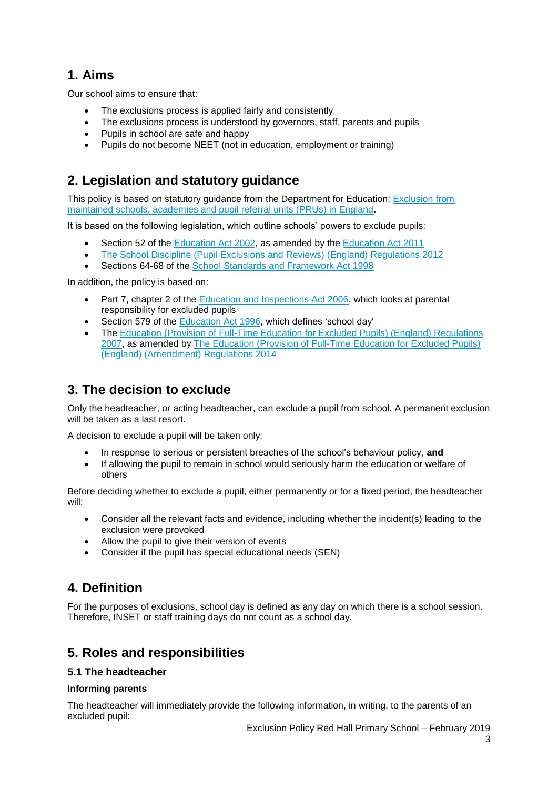## **1. Aims**

Our school aims to ensure that:

- The exclusions process is applied fairly and consistently
- The exclusions process is understood by governors, staff, parents and pupils
- Pupils in school are safe and happy
- Pupils do not become NEET (not in education, employment or training)

## **2. Legislation and statutory guidance**

This policy is based on statutory guidance from the Department for Education: **Exclusion from** [maintained schools, academies and pupil referral units \(PRUs\) in England.](https://www.gov.uk/government/publications/school-exclusion)

It is based on the following legislation, which outline schools' powers to exclude pupils:

- Section 52 of the [Education Act 2002,](http://www.legislation.gov.uk/ukpga/2002/32/section/52) as amended by the [Education Act 2011](http://www.legislation.gov.uk/ukpga/2011/21/contents/enacted)
- [The School Discipline \(Pupil Exclusions and Reviews\) \(England\) Regulations 2012](http://www.legislation.gov.uk/uksi/2012/1033/made)
- Sections 64-68 of the [School Standards and Framework Act 1998](http://www.legislation.gov.uk/ukpga/1998/31)

In addition, the policy is based on:

- Part 7, chapter 2 of the [Education and Inspections Act 2006,](http://www.legislation.gov.uk/ukpga/2006/40/part/7/chapter/2) which looks at parental responsibility for excluded pupils
- Section 579 of the [Education Act 1996,](http://www.legislation.gov.uk/ukpga/1996/56/section/579) which defines 'school day'
- The [Education \(Provision of Full-Time Education for Excluded Pupils\) \(England\) Regulations](http://www.legislation.gov.uk/uksi/2007/1870/contents/made)  [2007,](http://www.legislation.gov.uk/uksi/2007/1870/contents/made) as amended by [The Education \(Provision of Full-Time Education for Excluded Pupils\)](http://www.legislation.gov.uk/uksi/2014/3216/contents/made)  [\(England\) \(Amendment\) Regulations 2014](http://www.legislation.gov.uk/uksi/2014/3216/contents/made)

## **3. The decision to exclude**

Only the headteacher, or acting headteacher, can exclude a pupil from school. A permanent exclusion will be taken as a last resort.

A decision to exclude a pupil will be taken only:

- In response to serious or persistent breaches of the school's behaviour policy, **and**
- If allowing the pupil to remain in school would seriously harm the education or welfare of others

Before deciding whether to exclude a pupil, either permanently or for a fixed period, the headteacher will:

- Consider all the relevant facts and evidence, including whether the incident(s) leading to the exclusion were provoked
- Allow the pupil to give their version of events
- Consider if the pupil has special educational needs (SEN)

### **4. Definition**

For the purposes of exclusions, school day is defined as any day on which there is a school session. Therefore, INSET or staff training days do not count as a school day.

### **5. Roles and responsibilities**

#### **5.1 The headteacher**

#### **Informing parents**

The headteacher will immediately provide the following information, in writing, to the parents of an excluded pupil: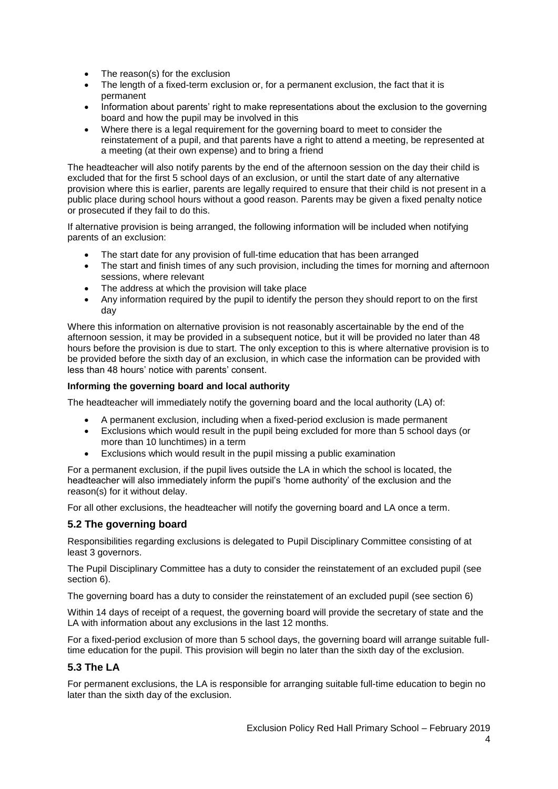- The reason(s) for the exclusion
- The length of a fixed-term exclusion or, for a permanent exclusion, the fact that it is permanent
- Information about parents' right to make representations about the exclusion to the governing board and how the pupil may be involved in this
- Where there is a legal requirement for the governing board to meet to consider the reinstatement of a pupil, and that parents have a right to attend a meeting, be represented at a meeting (at their own expense) and to bring a friend

The headteacher will also notify parents by the end of the afternoon session on the day their child is excluded that for the first 5 school days of an exclusion, or until the start date of any alternative provision where this is earlier, parents are legally required to ensure that their child is not present in a public place during school hours without a good reason. Parents may be given a fixed penalty notice or prosecuted if they fail to do this.

If alternative provision is being arranged, the following information will be included when notifying parents of an exclusion:

- The start date for any provision of full-time education that has been arranged
- The start and finish times of any such provision, including the times for morning and afternoon sessions, where relevant
- The address at which the provision will take place
- Any information required by the pupil to identify the person they should report to on the first day

Where this information on alternative provision is not reasonably ascertainable by the end of the afternoon session, it may be provided in a subsequent notice, but it will be provided no later than 48 hours before the provision is due to start. The only exception to this is where alternative provision is to be provided before the sixth day of an exclusion, in which case the information can be provided with less than 48 hours' notice with parents' consent.

#### **Informing the governing board and local authority**

The headteacher will immediately notify the governing board and the local authority (LA) of:

- A permanent exclusion, including when a fixed-period exclusion is made permanent
- Exclusions which would result in the pupil being excluded for more than 5 school days (or more than 10 lunchtimes) in a term
- Exclusions which would result in the pupil missing a public examination

For a permanent exclusion, if the pupil lives outside the LA in which the school is located, the headteacher will also immediately inform the pupil's 'home authority' of the exclusion and the reason(s) for it without delay.

For all other exclusions, the headteacher will notify the governing board and LA once a term.

#### **5.2 The governing board**

Responsibilities regarding exclusions is delegated to Pupil Disciplinary Committee consisting of at least 3 governors.

The Pupil Disciplinary Committee has a duty to consider the reinstatement of an excluded pupil (see section 6).

The governing board has a duty to consider the reinstatement of an excluded pupil (see section 6)

Within 14 days of receipt of a request, the governing board will provide the secretary of state and the LA with information about any exclusions in the last 12 months.

For a fixed-period exclusion of more than 5 school days, the governing board will arrange suitable fulltime education for the pupil. This provision will begin no later than the sixth day of the exclusion.

#### **5.3 The LA**

For permanent exclusions, the LA is responsible for arranging suitable full-time education to begin no later than the sixth day of the exclusion.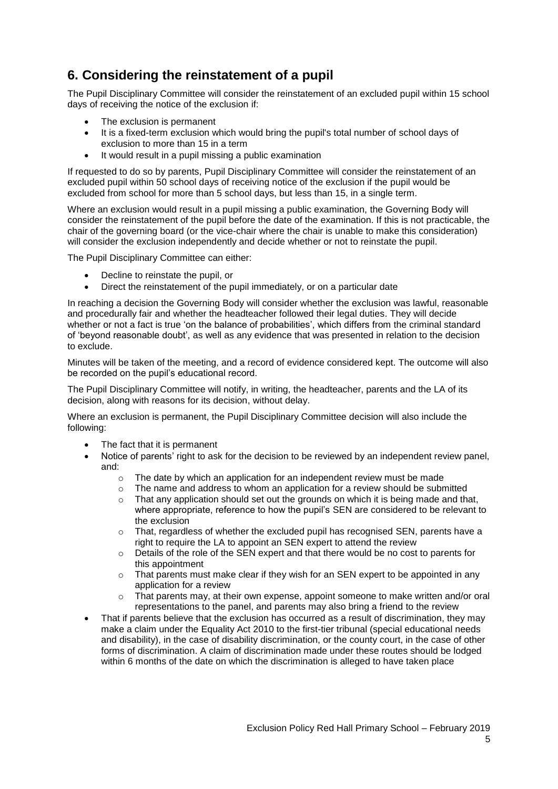## **6. Considering the reinstatement of a pupil**

The Pupil Disciplinary Committee will consider the reinstatement of an excluded pupil within 15 school days of receiving the notice of the exclusion if:

- The exclusion is permanent
- It is a fixed-term exclusion which would bring the pupil's total number of school days of exclusion to more than 15 in a term
- It would result in a pupil missing a public examination

If requested to do so by parents, Pupil Disciplinary Committee will consider the reinstatement of an excluded pupil within 50 school days of receiving notice of the exclusion if the pupil would be excluded from school for more than 5 school days, but less than 15, in a single term.

Where an exclusion would result in a pupil missing a public examination, the Governing Body will consider the reinstatement of the pupil before the date of the examination. If this is not practicable, the chair of the governing board (or the vice-chair where the chair is unable to make this consideration) will consider the exclusion independently and decide whether or not to reinstate the pupil.

The Pupil Disciplinary Committee can either:

- Decline to reinstate the pupil, or
- Direct the reinstatement of the pupil immediately, or on a particular date

In reaching a decision the Governing Body will consider whether the exclusion was lawful, reasonable and procedurally fair and whether the headteacher followed their legal duties. They will decide whether or not a fact is true 'on the balance of probabilities', which differs from the criminal standard of 'beyond reasonable doubt', as well as any evidence that was presented in relation to the decision to exclude.

Minutes will be taken of the meeting, and a record of evidence considered kept. The outcome will also be recorded on the pupil's educational record.

The Pupil Disciplinary Committee will notify, in writing, the headteacher, parents and the LA of its decision, along with reasons for its decision, without delay.

Where an exclusion is permanent, the Pupil Disciplinary Committee decision will also include the following:

- The fact that it is permanent
- Notice of parents' right to ask for the decision to be reviewed by an independent review panel, and:
	- $\circ$  The date by which an application for an independent review must be made
	- $\circ$  The name and address to whom an application for a review should be submitted
	- $\circ$  That any application should set out the grounds on which it is being made and that, where appropriate, reference to how the pupil's SEN are considered to be relevant to the exclusion
	- $\circ$  That, regardless of whether the excluded pupil has recognised SEN, parents have a right to require the LA to appoint an SEN expert to attend the review
	- $\circ$  Details of the role of the SEN expert and that there would be no cost to parents for this appointment
	- $\circ$  That parents must make clear if they wish for an SEN expert to be appointed in any application for a review
	- o That parents may, at their own expense, appoint someone to make written and/or oral representations to the panel, and parents may also bring a friend to the review
- That if parents believe that the exclusion has occurred as a result of discrimination, they may make a claim under the Equality Act 2010 to the first-tier tribunal (special educational needs and disability), in the case of disability discrimination, or the county court, in the case of other forms of discrimination. A claim of discrimination made under these routes should be lodged within 6 months of the date on which the discrimination is alleged to have taken place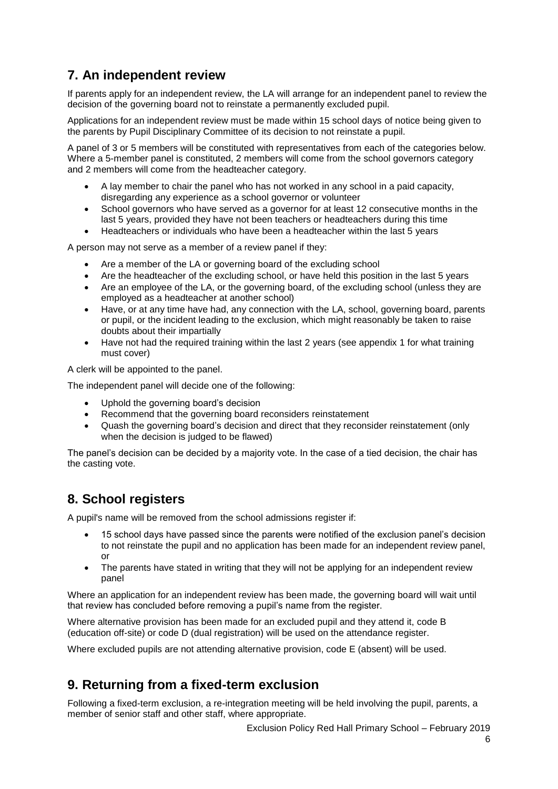## **7. An independent review**

If parents apply for an independent review, the LA will arrange for an independent panel to review the decision of the governing board not to reinstate a permanently excluded pupil.

Applications for an independent review must be made within 15 school days of notice being given to the parents by Pupil Disciplinary Committee of its decision to not reinstate a pupil.

A panel of 3 or 5 members will be constituted with representatives from each of the categories below. Where a 5-member panel is constituted, 2 members will come from the school governors category and 2 members will come from the headteacher category.

- A lay member to chair the panel who has not worked in any school in a paid capacity, disregarding any experience as a school governor or volunteer
- School governors who have served as a governor for at least 12 consecutive months in the last 5 years, provided they have not been teachers or headteachers during this time
- Headteachers or individuals who have been a headteacher within the last 5 years

A person may not serve as a member of a review panel if they:

- Are a member of the LA or governing board of the excluding school
- Are the headteacher of the excluding school, or have held this position in the last 5 years
- Are an employee of the LA, or the governing board, of the excluding school (unless they are employed as a headteacher at another school)
- Have, or at any time have had, any connection with the LA, school, governing board, parents or pupil, or the incident leading to the exclusion, which might reasonably be taken to raise doubts about their impartially
- Have not had the required training within the last 2 years (see appendix 1 for what training must cover)

A clerk will be appointed to the panel.

The independent panel will decide one of the following:

- Uphold the governing board's decision
- Recommend that the governing board reconsiders reinstatement
- Quash the governing board's decision and direct that they reconsider reinstatement (only when the decision is judged to be flawed)

The panel's decision can be decided by a majority vote. In the case of a tied decision, the chair has the casting vote.

### **8. School registers**

A pupil's name will be removed from the school admissions register if:

- 15 school days have passed since the parents were notified of the exclusion panel's decision to not reinstate the pupil and no application has been made for an independent review panel, or
- The parents have stated in writing that they will not be applying for an independent review panel

Where an application for an independent review has been made, the governing board will wait until that review has concluded before removing a pupil's name from the register.

Where alternative provision has been made for an excluded pupil and they attend it, code B (education off-site) or code D (dual registration) will be used on the attendance register.

Where excluded pupils are not attending alternative provision, code E (absent) will be used.

### **9. Returning from a fixed-term exclusion**

Following a fixed-term exclusion, a re-integration meeting will be held involving the pupil, parents, a member of senior staff and other staff, where appropriate.

Exclusion Policy Red Hall Primary School – February 2019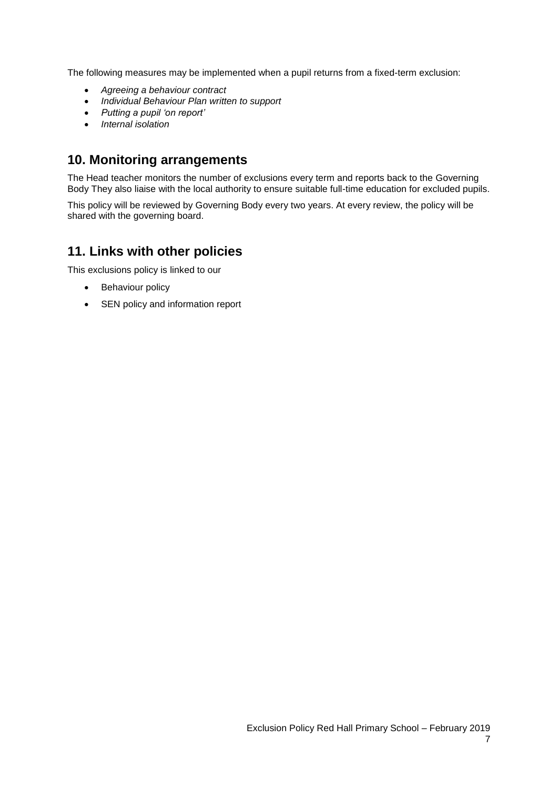The following measures may be implemented when a pupil returns from a fixed-term exclusion:

- *Agreeing a behaviour contract*
- *Individual Behaviour Plan written to support*
- *Putting a pupil 'on report'*
- *Internal isolation*

### **10. Monitoring arrangements**

The Head teacher monitors the number of exclusions every term and reports back to the Governing Body They also liaise with the local authority to ensure suitable full-time education for excluded pupils.

This policy will be reviewed by Governing Body every two years. At every review, the policy will be shared with the governing board.

### **11. Links with other policies**

This exclusions policy is linked to our

- Behaviour policy
- SEN policy and information report